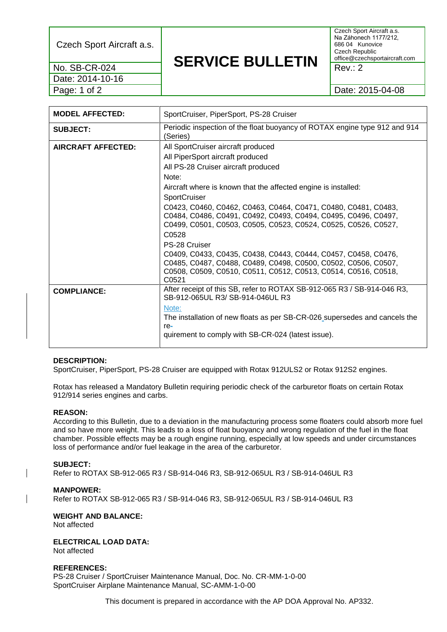Czech Sport Aircraft a.s.

Date: 2014-10-16

## **SERVICE BULLETIN** No. SB-CR-024  $\blacksquare$

Czech Sport Aircraft a.s. Na Záhonech 1177/212, 686 04 Kunovice Czech Republic office@czechsportaircraft.com

Page: 1 of 2 2015-04-08

| <b>MODEL AFFECTED:</b> | SportCruiser, PiperSport, PS-28 Cruiser                                                                                                                                                                                                                         |  |
|------------------------|-----------------------------------------------------------------------------------------------------------------------------------------------------------------------------------------------------------------------------------------------------------------|--|
| <b>SUBJECT:</b>        | Periodic inspection of the float buoyancy of ROTAX engine type 912 and 914<br>(Series)                                                                                                                                                                          |  |
| AIRCRAFT AFFECTED:     | All SportCruiser aircraft produced<br>All PiperSport aircraft produced<br>All PS-28 Cruiser aircraft produced                                                                                                                                                   |  |
|                        | Note:<br>Aircraft where is known that the affected engine is installed:<br>SportCruiser                                                                                                                                                                         |  |
|                        | C0423, C0460, C0462, C0463, C0464, C0471, C0480, C0481, C0483,<br>C0484, C0486, C0491, C0492, C0493, C0494, C0495, C0496, C0497,<br>C0499, C0501, C0503, C0505, C0523, C0524, C0525, C0526, C0527,<br>C0528                                                     |  |
|                        | PS-28 Cruiser<br>C0409, C0433, C0435, C0438, C0443, C0444, C0457, C0458, C0476,<br>C0485, C0487, C0488, C0489, C0498, C0500, C0502, C0506, C0507,<br>C0508, C0509, C0510, C0511, C0512, C0513, C0514, C0516, C0518,<br>C <sub>0521</sub>                        |  |
| <b>COMPLIANCE:</b>     | After receipt of this SB, refer to ROTAX SB-912-065 R3 / SB-914-046 R3,<br>SB-912-065UL R3/ SB-914-046UL R3<br>Note:<br>The installation of new floats as per SB-CR-026 supersedes and cancels the<br>re-<br>quirement to comply with SB-CR-024 (latest issue). |  |

## **DESCRIPTION:**

SportCruiser, PiperSport, PS-28 Cruiser are equipped with Rotax 912ULS2 or Rotax 912S2 engines.

Rotax has released a Mandatory Bulletin requiring periodic check of the carburetor floats on certain Rotax 912/914 series engines and carbs.

## **REASON:**

According to this Bulletin, due to a deviation in the manufacturing process some floaters could absorb more fuel and so have more weight. This leads to a loss of float buoyancy and wrong regulation of the fuel in the float chamber. Possible effects may be a rough engine running, especially at low speeds and under circumstances loss of performance and/or fuel leakage in the area of the carburetor.

## **SUBJECT:**

Refer to ROTAX SB-912-065 R3 / SB-914-046 R3, SB-912-065UL R3 / SB-914-046UL R3

#### **MANPOWER:**

Refer to ROTAX SB-912-065 R3 / SB-914-046 R3, SB-912-065UL R3 / SB-914-046UL R3

**WEIGHT AND BALANCE:** Not affected

**ELECTRICAL LOAD DATA:** Not affected

## **REFERENCES:**

PS-28 Cruiser / SportCruiser Maintenance Manual, Doc. No. CR-MM-1-0-00 SportCruiser Airplane Maintenance Manual, SC-AMM-1-0-00

This document is prepared in accordance with the AP DOA Approval No. AP332.